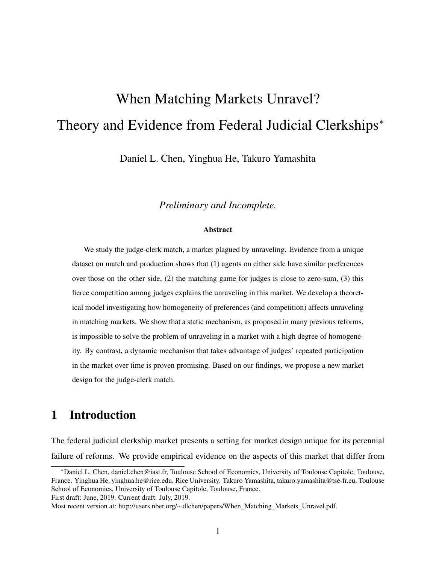# When Matching Markets Unravel? Theory and Evidence from Federal Judicial Clerkships<sup>∗</sup>

Daniel L. Chen, Yinghua He, Takuro Yamashita

*Preliminary and Incomplete.*

#### **Abstract**

We study the judge-clerk match, a market plagued by unraveling. Evidence from a unique dataset on match and production shows that (1) agents on either side have similar preferences over those on the other side, (2) the matching game for judges is close to zero-sum, (3) this fierce competition among judges explains the unraveling in this market. We develop a theoretical model investigating how homogeneity of preferences (and competition) affects unraveling in matching markets. We show that a static mechanism, as proposed in many previous reforms, is impossible to solve the problem of unraveling in a market with a high degree of homogeneity. By contrast, a dynamic mechanism that takes advantage of judges' repeated participation in the market over time is proven promising. Based on our findings, we propose a new market design for the judge-clerk match.

# 1 Introduction

The federal judicial clerkship market presents a setting for market design unique for its perennial failure of reforms. We provide empirical evidence on the aspects of this market that differ from

First draft: June, 2019. Current draft: July, 2019.

<sup>∗</sup>Daniel L. Chen, daniel.chen@iast.fr, Toulouse School of Economics, University of Toulouse Capitole, Toulouse, France. Yinghua He, yinghua.he@rice.edu, Rice University. Takuro Yamashita, takuro.yamashita@tse-fr.eu, Toulouse School of Economics, University of Toulouse Capitole, Toulouse, France.

Most recent version at: http://users.nber.org/∼dlchen/papers/When\_Matching\_Markets\_Unravel.pdf.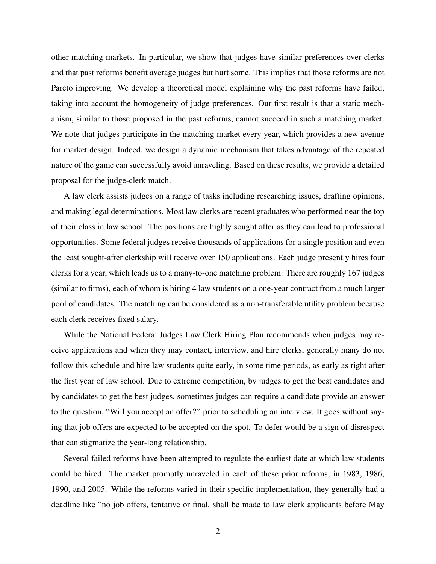other matching markets. In particular, we show that judges have similar preferences over clerks and that past reforms benefit average judges but hurt some. This implies that those reforms are not Pareto improving. We develop a theoretical model explaining why the past reforms have failed, taking into account the homogeneity of judge preferences. Our first result is that a static mechanism, similar to those proposed in the past reforms, cannot succeed in such a matching market. We note that judges participate in the matching market every year, which provides a new avenue for market design. Indeed, we design a dynamic mechanism that takes advantage of the repeated nature of the game can successfully avoid unraveling. Based on these results, we provide a detailed proposal for the judge-clerk match.

A law clerk assists judges on a range of tasks including researching issues, drafting opinions, and making legal determinations. Most law clerks are recent graduates who performed near the top of their class in law school. The positions are highly sought after as they can lead to professional opportunities. Some federal judges receive thousands of applications for a single position and even the least sought-after clerkship will receive over 150 applications. Each judge presently hires four clerks for a year, which leads us to a many-to-one matching problem: There are roughly 167 judges (similar to firms), each of whom is hiring 4 law students on a one-year contract from a much larger pool of candidates. The matching can be considered as a non-transferable utility problem because each clerk receives fixed salary.

While the National Federal Judges Law Clerk Hiring Plan recommends when judges may receive applications and when they may contact, interview, and hire clerks, generally many do not follow this schedule and hire law students quite early, in some time periods, as early as right after the first year of law school. Due to extreme competition, by judges to get the best candidates and by candidates to get the best judges, sometimes judges can require a candidate provide an answer to the question, "Will you accept an offer?" prior to scheduling an interview. It goes without saying that job offers are expected to be accepted on the spot. To defer would be a sign of disrespect that can stigmatize the year-long relationship.

Several failed reforms have been attempted to regulate the earliest date at which law students could be hired. The market promptly unraveled in each of these prior reforms, in 1983, 1986, 1990, and 2005. While the reforms varied in their specific implementation, they generally had a deadline like "no job offers, tentative or final, shall be made to law clerk applicants before May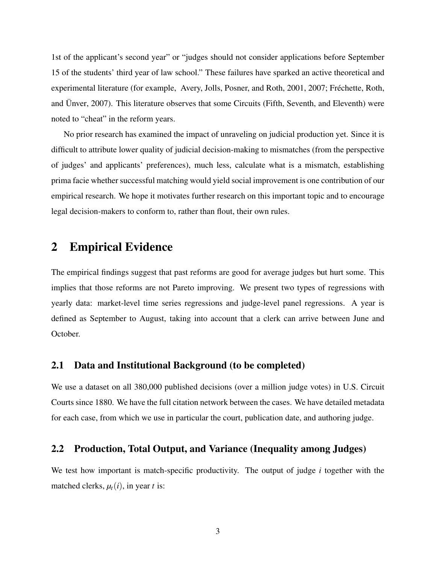1st of the applicant's second year" or "judges should not consider applications before September 15 of the students' third year of law school." These failures have sparked an active theoretical and experimental literature (for example, Avery, Jolls, Posner, and Roth, 2001, 2007; Fréchette, Roth, and Ünver, 2007). This literature observes that some Circuits (Fifth, Seventh, and Eleventh) were noted to "cheat" in the reform years.

No prior research has examined the impact of unraveling on judicial production yet. Since it is difficult to attribute lower quality of judicial decision-making to mismatches (from the perspective of judges' and applicants' preferences), much less, calculate what is a mismatch, establishing prima facie whether successful matching would yield social improvement is one contribution of our empirical research. We hope it motivates further research on this important topic and to encourage legal decision-makers to conform to, rather than flout, their own rules.

## 2 Empirical Evidence

The empirical findings suggest that past reforms are good for average judges but hurt some. This implies that those reforms are not Pareto improving. We present two types of regressions with yearly data: market-level time series regressions and judge-level panel regressions. A year is defined as September to August, taking into account that a clerk can arrive between June and October.

## 2.1 Data and Institutional Background (to be completed)

We use a dataset on all 380,000 published decisions (over a million judge votes) in U.S. Circuit Courts since 1880. We have the full citation network between the cases. We have detailed metadata for each case, from which we use in particular the court, publication date, and authoring judge.

#### 2.2 Production, Total Output, and Variance (Inequality among Judges)

We test how important is match-specific productivity. The output of judge *i* together with the matched clerks,  $\mu_t(i)$ , in year *t* is: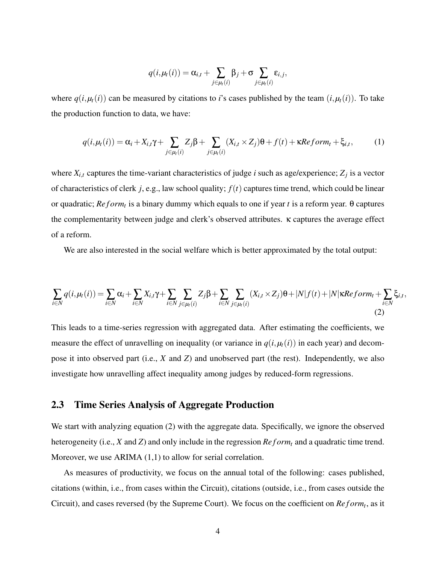$$
q(i,\mu_t(i)) = \alpha_{i,t} + \sum_{j \in \mu_t(i)} \beta_j + \sigma \sum_{j \in \mu_t(i)} \varepsilon_{i,j},
$$

where  $q(i, \mu_t(i))$  can be measured by citations to *i*'s cases published by the team  $(i, \mu_t(i))$ . To take the production function to data, we have:

$$
q(i, \mu_t(i)) = \alpha_i + X_{i,t}\gamma + \sum_{j \in \mu_t(i)} Z_j \beta + \sum_{j \in \mu_t(i)} (X_{i,t} \times Z_j)\theta + f(t) + \kappa \text{Reform}_t + \xi_{i,t},
$$
 (1)

where  $X_{i,t}$  captures the time-variant characteristics of judge *i* such as age/experience;  $Z_j$  is a vector of characteristics of clerk *j*, e.g., law school quality; *f*(*t*) captures time trend, which could be linear or quadratic; *Reform<sub>t</sub>* is a binary dummy which equals to one if year *t* is a reform year. θ captures the complementarity between judge and clerk's observed attributes. κ captures the average effect of a reform.

We are also interested in the social welfare which is better approximated by the total output:

$$
\sum_{i\in N} q(i, \mu_t(i)) = \sum_{i\in N} \alpha_i + \sum_{i\in N} X_{i,t} \gamma + \sum_{i\in N} \sum_{j\in\mu_t(i)} Z_j \beta + \sum_{i\in N} \sum_{j\in\mu_t(i)} (X_{i,t} \times Z_j) \theta + |N| f(t) + |N| \kappa \text{Reform}_t + \sum_{i\in N} \xi_{i,t},
$$
\n(2)

This leads to a time-series regression with aggregated data. After estimating the coefficients, we measure the effect of unravelling on inequality (or variance in  $q(i, \mu_t(i))$  in each year) and decompose it into observed part (i.e., *X* and *Z*) and unobserved part (the rest). Independently, we also investigate how unravelling affect inequality among judges by reduced-form regressions.

### 2.3 Time Series Analysis of Aggregate Production

We start with analyzing equation (2) with the aggregate data. Specifically, we ignore the observed heterogeneity (i.e., *X* and *Z*) and only include in the regression *Reform*<sub>*t*</sub> and a quadratic time trend. Moreover, we use ARIMA (1,1) to allow for serial correlation.

As measures of productivity, we focus on the annual total of the following: cases published, citations (within, i.e., from cases within the Circuit), citations (outside, i.e., from cases outside the Circuit), and cases reversed (by the Supreme Court). We focus on the coefficient on *Reform<sub>t</sub>*, as it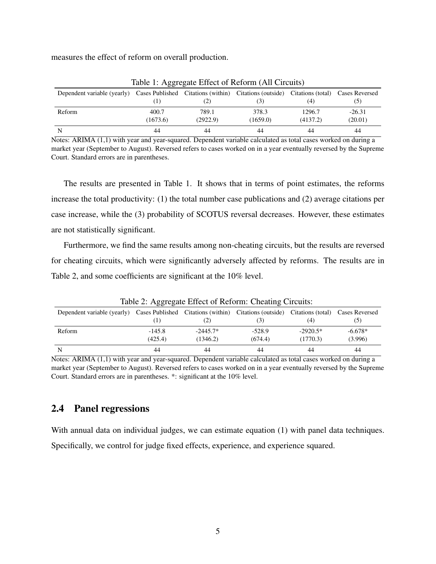measures the effect of reform on overall production.

| $\frac{1}{2}$                                                                                                       |          |          |          |          |          |  |
|---------------------------------------------------------------------------------------------------------------------|----------|----------|----------|----------|----------|--|
| Dependent variable (yearly) Cases Published Citations (within) Citations (outside) Citations (total) Cases Reversed |          |          |          |          |          |  |
|                                                                                                                     |          | 21       |          | (4)      | (5)      |  |
| Reform                                                                                                              | 400.7    | 789.1    | 378.3    | 1296.7   | $-26.31$ |  |
|                                                                                                                     | (1673.6) | (2922.9) | (1659.0) | (4137.2) | (20.01)  |  |
| N                                                                                                                   | 44       | 44       | 44       | 44       | 44       |  |

Table 1: Aggregate Effect of Reform (All Circuits)

Notes: ARIMA (1,1) with year and year-squared. Dependent variable calculated as total cases worked on during a market year (September to August). Reversed refers to cases worked on in a year eventually reversed by the Supreme Court. Standard errors are in parentheses.

The results are presented in Table 1. It shows that in terms of point estimates, the reforms increase the total productivity: (1) the total number case publications and (2) average citations per case increase, while the (3) probability of SCOTUS reversal decreases. However, these estimates are not statistically significant.

Furthermore, we find the same results among non-cheating circuits, but the results are reversed for cheating circuits, which were significantly adversely affected by reforms. The results are in Table 2, and some coefficients are significant at the 10% level.

| Table 2. Aggregate Effect of Reform. Cheating Circuits.                                                             |          |            |          |            |           |  |
|---------------------------------------------------------------------------------------------------------------------|----------|------------|----------|------------|-----------|--|
| Dependent variable (yearly) Cases Published Citations (within) Citations (outside) Citations (total) Cases Reversed |          |            |          |            |           |  |
|                                                                                                                     |          | [2]        | (3)      | (4)        | (၁)       |  |
| Reform                                                                                                              | $-145.8$ | $-2445.7*$ | $-528.9$ | $-2920.5*$ | $-6.678*$ |  |
|                                                                                                                     | (425.4)  | (1346.2)   | (674.4)  | (1770.3)   | (3.996)   |  |
| N                                                                                                                   | 44       | 44         | 44       | 44         | 44        |  |

Table 2: Aggregate Effect of Reform: Cheating Circuits:

Notes: ARIMA (1,1) with year and year-squared. Dependent variable calculated as total cases worked on during a market year (September to August). Reversed refers to cases worked on in a year eventually reversed by the Supreme Court. Standard errors are in parentheses. \*: significant at the 10% level.

## 2.4 Panel regressions

With annual data on individual judges, we can estimate equation (1) with panel data techniques. Specifically, we control for judge fixed effects, experience, and experience squared.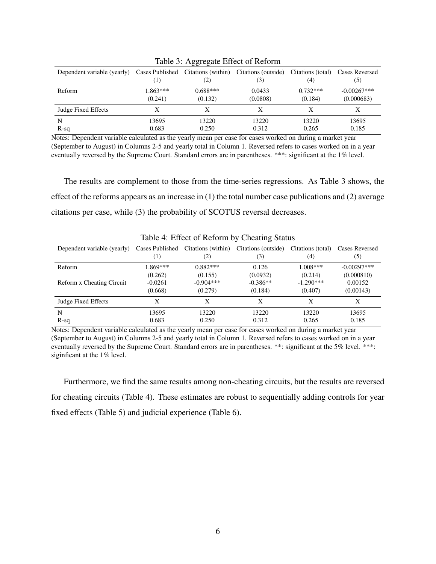| Dependent variable (yearly) Cases Published Citations (within) |            | (2)        | Citations (outside)<br>(3) | Citations (total)<br>(4) | <b>Cases Reversed</b><br>(5) |
|----------------------------------------------------------------|------------|------------|----------------------------|--------------------------|------------------------------|
| Reform                                                         | $1.863***$ | $0.688***$ | 0.0433                     | $0.732***$               | $-0.00267***$                |
|                                                                | (0.241)    | (0.132)    | (0.0808)                   | (0.184)                  | (0.000683)                   |
| Judge Fixed Effects                                            |            |            |                            |                          | Х                            |
| N                                                              | 13695      | 13220      | 13220                      | 13220                    | 13695                        |
| $R-sq$                                                         | 0.683      | 0.250      | 0.312                      | 0.265                    | 0.185                        |

Table 3: Aggregate Effect of Reform

Notes: Dependent variable calculated as the yearly mean per case for cases worked on during a market year (September to August) in Columns 2-5 and yearly total in Column 1. Reversed refers to cases worked on in a year eventually reversed by the Supreme Court. Standard errors are in parentheses. \*\*\*: significant at the 1% level.

The results are complement to those from the time-series regressions. As Table 3 shows, the effect of the reforms appears as an increase in (1) the total number case publications and (2) average citations per case, while (3) the probability of SCOTUS reversal decreases.

| Table 4. Effect of Kerbilli by Cheating Status |                                     |                           |                            |                          |                       |  |
|------------------------------------------------|-------------------------------------|---------------------------|----------------------------|--------------------------|-----------------------|--|
| Dependent variable (yearly)                    | Cases Published<br>$\left(1\right)$ | Citations (within)<br>(2) | Citations (outside)<br>(3) | Citations (total)<br>(4) | Cases Reversed<br>(5) |  |
| Reform                                         | 1.869***                            | $0.882***$                | 0.126                      | $1.008***$               | $-0.00297***$         |  |
|                                                | (0.262)                             | (0.155)                   | (0.0932)                   | (0.214)                  | (0.000810)            |  |
| Reform x Cheating Circuit                      | $-0.0261$                           | $-0.904***$               | $-0.386**$                 | $-1.290***$              | 0.00152               |  |
|                                                | (0.668)                             | (0.279)                   | (0.184)                    | (0.407)                  | (0.00143)             |  |
| Judge Fixed Effects                            | Х                                   | X                         | X                          | X                        | X                     |  |
| N                                              | 13695                               | 13220                     | 13220                      | 13220                    | 13695                 |  |
| $R-sq$                                         | 0.683                               | 0.250                     | 0.312                      | 0.265                    | 0.185                 |  |

Table 4: Effect of Reform by Cheating Status

Notes: Dependent variable calculated as the yearly mean per case for cases worked on during a market year (September to August) in Columns 2-5 and yearly total in Column 1. Reversed refers to cases worked on in a year eventually reversed by the Supreme Court. Standard errors are in parentheses. \*\*: significant at the 5% level. \*\*\*: siginficant at the 1% level.

Furthermore, we find the same results among non-cheating circuits, but the results are reversed for cheating circuits (Table 4). These estimates are robust to sequentially adding controls for year fixed effects (Table 5) and judicial experience (Table 6).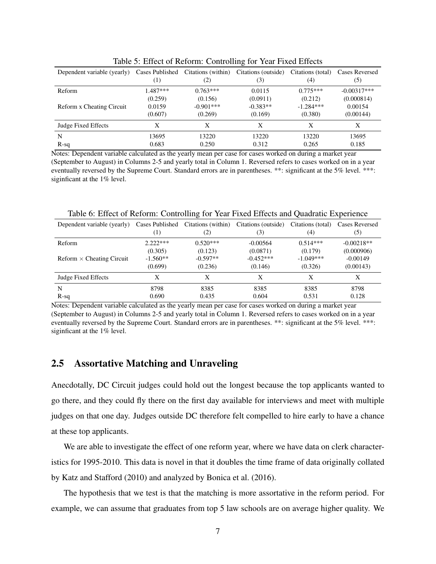|                             |                                     |                           | $\overline{\phantom{0}}$   |                          |                       |
|-----------------------------|-------------------------------------|---------------------------|----------------------------|--------------------------|-----------------------|
| Dependent variable (yearly) | Cases Published<br>$\left(1\right)$ | Citations (within)<br>(2) | Citations (outside)<br>(3) | Citations (total)<br>(4) | Cases Reversed<br>(5) |
| Reform                      | $1.487***$                          | $0.763***$                | 0.0115                     | $0.775***$               | $-0.00317***$         |
|                             | (0.259)                             | (0.156)                   | (0.0911)                   | (0.212)                  | (0.000814)            |
| Reform x Cheating Circuit   | 0.0159                              | $-0.901***$               | $-0.383**$                 | $-1.284***$              | 0.00154               |
|                             | (0.607)                             | (0.269)                   | (0.169)                    | (0.380)                  | (0.00144)             |
| Judge Fixed Effects         | Х                                   | X                         | X                          | X                        | X                     |
| N                           | 13695                               | 13220                     | 13220                      | 13220                    | 13695                 |
| $R-sq$                      | 0.683                               | 0.250                     | 0.312                      | 0.265                    | 0.185                 |

Table 5: Effect of Reform: Controlling for Year Fixed Effects

Notes: Dependent variable calculated as the yearly mean per case for cases worked on during a market year (September to August) in Columns 2-5 and yearly total in Column 1. Reversed refers to cases worked on in a year eventually reversed by the Supreme Court. Standard errors are in parentheses. \*\*: significant at the 5% level. \*\*\*: siginficant at the 1% level.

| Dependent variable (yearly)      | Cases Published<br>(1) | Citations (within)<br>(2) | Citations (outside)<br>(3) | Citations (total)<br>(4) | Cases Reversed<br>(5) |  |
|----------------------------------|------------------------|---------------------------|----------------------------|--------------------------|-----------------------|--|
| Reform                           | $2.222***$             | $0.520***$                | $-0.00564$                 | $0.514***$               | $-0.00218**$          |  |
|                                  | (0.305)                | (0.123)                   | (0.0871)                   | (0.179)                  | (0.000906)            |  |
| $Reform \times Cheating Circuit$ | $-1.560**$             | $-0.597**$                | $-0.452***$                | $-1.049***$              | $-0.00149$            |  |
|                                  | (0.699)                | (0.236)                   | (0.146)                    | (0.326)                  | (0.00143)             |  |
| Judge Fixed Effects              | X                      | X                         | Х                          | X                        | X                     |  |
| N                                | 8798                   | 8385                      | 8385                       | 8385                     | 8798                  |  |
| $R-sq$                           | 0.690                  | 0.435                     | 0.604                      | 0.531                    | 0.128                 |  |

Table 6: Effect of Reform: Controlling for Year Fixed Effects and Quadratic Experience

Notes: Dependent variable calculated as the yearly mean per case for cases worked on during a market year (September to August) in Columns 2-5 and yearly total in Column 1. Reversed refers to cases worked on in a year eventually reversed by the Supreme Court. Standard errors are in parentheses. \*\*: significant at the 5% level. \*\*\*: siginficant at the 1% level.

#### 2.5 Assortative Matching and Unraveling

Anecdotally, DC Circuit judges could hold out the longest because the top applicants wanted to go there, and they could fly there on the first day available for interviews and meet with multiple judges on that one day. Judges outside DC therefore felt compelled to hire early to have a chance at these top applicants.

We are able to investigate the effect of one reform year, where we have data on clerk characteristics for 1995-2010. This data is novel in that it doubles the time frame of data originally collated by Katz and Stafford (2010) and analyzed by Bonica et al. (2016).

The hypothesis that we test is that the matching is more assortative in the reform period. For example, we can assume that graduates from top 5 law schools are on average higher quality. We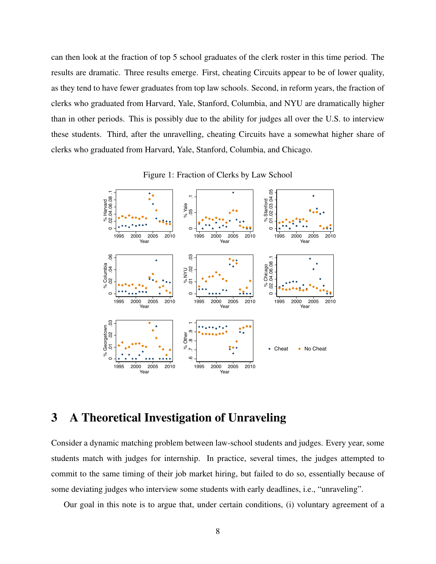can then look at the fraction of top 5 school graduates of the clerk roster in this time period. The results are dramatic. Three results emerge. First, cheating Circuits appear to be of lower quality, as they tend to have fewer graduates from top law schools. Second, in reform years, the fraction of clerks who graduated from Harvard, Yale, Stanford, Columbia, and NYU are dramatically higher than in other periods. This is possibly due to the ability for judges all over the U.S. to interview these students. Third, after the unravelling, cheating Circuits have a somewhat higher share of clerks who graduated from Harvard, Yale, Stanford, Columbia, and Chicago.





# 3 A Theoretical Investigation of Unraveling

Consider a dynamic matching problem between law-school students and judges. Every year, some students match with judges for internship. In practice, several times, the judges attempted to commit to the same timing of their job market hiring, but failed to do so, essentially because of some deviating judges who interview some students with early deadlines, i.e., "unraveling".

Our goal in this note is to argue that, under certain conditions, (i) voluntary agreement of a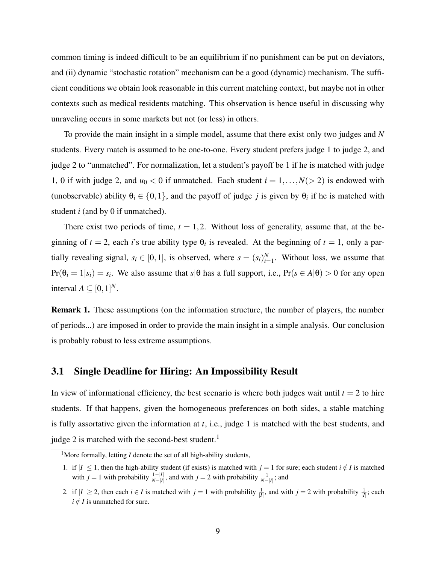common timing is indeed difficult to be an equilibrium if no punishment can be put on deviators, and (ii) dynamic "stochastic rotation" mechanism can be a good (dynamic) mechanism. The sufficient conditions we obtain look reasonable in this current matching context, but maybe not in other contexts such as medical residents matching. This observation is hence useful in discussing why unraveling occurs in some markets but not (or less) in others.

To provide the main insight in a simple model, assume that there exist only two judges and *N* students. Every match is assumed to be one-to-one. Every student prefers judge 1 to judge 2, and judge 2 to "unmatched". For normalization, let a student's payoff be 1 if he is matched with judge 1, 0 if with judge 2, and  $u_0 < 0$  if unmatched. Each student  $i = 1, \ldots, N(> 2)$  is endowed with (unobservable) ability  $\theta_i \in \{0,1\}$ , and the payoff of judge *j* is given by  $\theta_i$  if he is matched with student *i* (and by 0 if unmatched).

There exist two periods of time,  $t = 1, 2$ . Without loss of generality, assume that, at the beginning of  $t = 2$ , each *i*'s true ability type  $\theta_i$  is revealed. At the beginning of  $t = 1$ , only a partially revealing signal,  $s_i \in [0,1]$ , is observed, where  $s = (s_i)_{i=1}^N$ . Without loss, we assume that  $Pr(\theta_i = 1 | s_i) = s_i$ . We also assume that  $s | \theta$  has a full support, i.e.,  $Pr(s \in A | \theta) > 0$  for any open interval  $A \subseteq [0,1]^N$ .

Remark 1. These assumptions (on the information structure, the number of players, the number of periods...) are imposed in order to provide the main insight in a simple analysis. Our conclusion is probably robust to less extreme assumptions.

#### 3.1 Single Deadline for Hiring: An Impossibility Result

In view of informational efficiency, the best scenario is where both judges wait until  $t = 2$  to hire students. If that happens, given the homogeneous preferences on both sides, a stable matching is fully assortative given the information at *t*, i.e., judge 1 is matched with the best students, and judge 2 is matched with the second-best student. $<sup>1</sup>$ </sup>

<sup>&</sup>lt;sup>1</sup>More formally, letting  $I$  denote the set of all high-ability students,

<sup>1.</sup> if  $|I| \leq 1$ , then the high-ability student (if exists) is matched with  $j = 1$  for sure; each student  $i \notin I$  is matched with  $j = 1$  with probability  $\frac{1-|I|}{N-|I|}$ , and with  $j = 2$  with probability  $\frac{1}{N-|I|}$ ; and

<sup>2.</sup> if  $|I| \ge 2$ , then each  $i \in I$  is matched with  $j = 1$  with probability  $\frac{1}{|I|}$ , and with  $j = 2$  with probability  $\frac{1}{|I|}$ ; each  $i \notin I$  is unmatched for sure.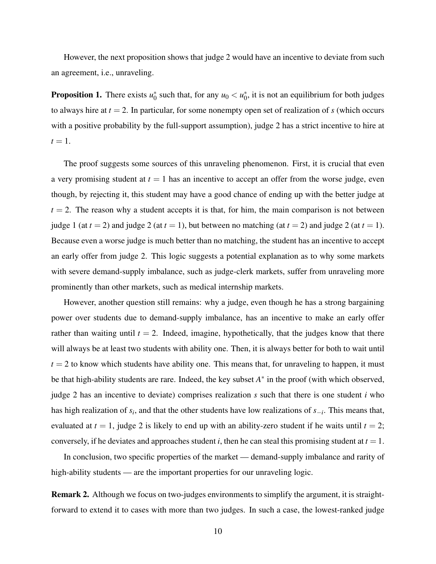However, the next proposition shows that judge 2 would have an incentive to deviate from such an agreement, i.e., unraveling.

**Proposition 1.** There exists  $u_0^*$  such that, for any  $u_0 < u_0^*$ , it is not an equilibrium for both judges to always hire at  $t = 2$ . In particular, for some nonempty open set of realization of *s* (which occurs with a positive probability by the full-support assumption), judge 2 has a strict incentive to hire at  $t=1$ .

The proof suggests some sources of this unraveling phenomenon. First, it is crucial that even a very promising student at  $t = 1$  has an incentive to accept an offer from the worse judge, even though, by rejecting it, this student may have a good chance of ending up with the better judge at  $t = 2$ . The reason why a student accepts it is that, for him, the main comparison is not between judge 1 (at  $t = 2$ ) and judge 2 (at  $t = 1$ ), but between no matching (at  $t = 2$ ) and judge 2 (at  $t = 1$ ). Because even a worse judge is much better than no matching, the student has an incentive to accept an early offer from judge 2. This logic suggests a potential explanation as to why some markets with severe demand-supply imbalance, such as judge-clerk markets, suffer from unraveling more prominently than other markets, such as medical internship markets.

However, another question still remains: why a judge, even though he has a strong bargaining power over students due to demand-supply imbalance, has an incentive to make an early offer rather than waiting until  $t = 2$ . Indeed, imagine, hypothetically, that the judges know that there will always be at least two students with ability one. Then, it is always better for both to wait until  $t = 2$  to know which students have ability one. This means that, for unraveling to happen, it must be that high-ability students are rare. Indeed, the key subset *A*<sup>∗</sup> in the proof (with which observed, judge 2 has an incentive to deviate) comprises realization *s* such that there is one student *i* who has high realization of  $s_i$ , and that the other students have low realizations of  $s_{-i}$ . This means that, evaluated at  $t = 1$ , judge 2 is likely to end up with an ability-zero student if he waits until  $t = 2$ ; conversely, if he deviates and approaches student *i*, then he can steal this promising student at  $t = 1$ .

In conclusion, two specific properties of the market — demand-supply imbalance and rarity of high-ability students — are the important properties for our unraveling logic.

Remark 2. Although we focus on two-judges environments to simplify the argument, it is straightforward to extend it to cases with more than two judges. In such a case, the lowest-ranked judge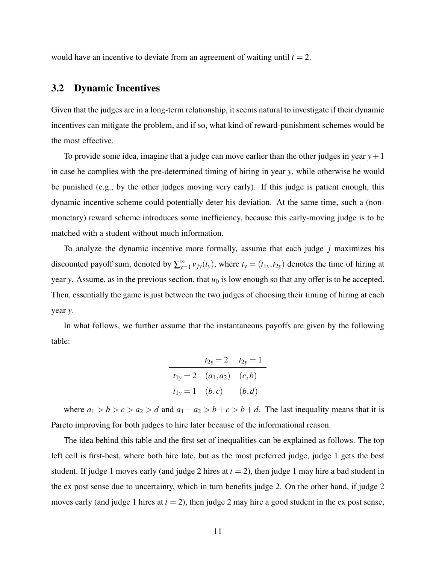would have an incentive to deviate from an agreement of waiting until  $t = 2$ .

### 3.2 Dynamic Incentives

Given that the judges are in a long-term relationship, it seems natural to investigate if their dynamic incentives can mitigate the problem, and if so, what kind of reward-punishment schemes would be the most effective.

To provide some idea, imagine that a judge can move earlier than the other judges in year  $y+1$ in case he complies with the pre-determined timing of hiring in year *y*, while otherwise he would be punished (e.g., by the other judges moving very early). If this judge is patient enough, this dynamic incentive scheme could potentially deter his deviation. At the same time, such a (nonmonetary) reward scheme introduces some inefficiency, because this early-moving judge is to be matched with a student without much information.

To analyze the dynamic incentive more formally, assume that each judge *j* maximizes his discounted payoff sum, denoted by  $\sum_{y=1}^{\infty} v_{jy}(t_y)$ , where  $t_y = (t_{1y}, t_{2y})$  denotes the time of hiring at year *y*. Assume, as in the previous section, that  $u_0$  is low enough so that any offer is to be accepted. Then, essentially the game is just between the two judges of choosing their timing of hiring at each year *y*.

In what follows, we further assume that the instantaneous payoffs are given by the following table:

$$
t_{2y} = 2 \t t_{2y} = 1
$$
  
\n
$$
t_{1y} = 2 \t (a_1, a_2) \t (c, b)
$$
  
\n
$$
t_{1y} = 1 \t (b, c) \t (b, d)
$$

where  $a_1 > b > c > a_2 > d$  and  $a_1 + a_2 > b + c > b + d$ . The last inequality means that it is Pareto improving for both judges to hire later because of the informational reason.

The idea behind this table and the first set of inequalities can be explained as follows. The top left cell is first-best, where both hire late, but as the most preferred judge, judge 1 gets the best student. If judge 1 moves early (and judge 2 hires at  $t = 2$ ), then judge 1 may hire a bad student in the ex post sense due to uncertainty, which in turn benefits judge 2. On the other hand, if judge 2 moves early (and judge 1 hires at  $t = 2$ ), then judge 2 may hire a good student in the ex post sense,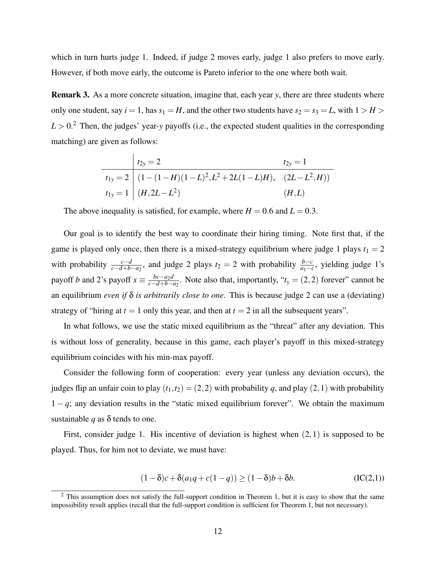which in turn hurts judge 1. Indeed, if judge 2 moves early, judge 1 also prefers to move early. However, if both move early, the outcome is Pareto inferior to the one where both wait.

Remark 3. As a more concrete situation, imagine that, each year *y*, there are three students where only one student, say  $i = 1$ , has  $s_1 = H$ , and the other two students have  $s_2 = s_3 = L$ , with  $1 > H$  $L > 0$ .<sup>2</sup> Then, the judges' year-y payoffs (i.e., the expected student qualities in the corresponding matching) are given as follows:

$$
t_{2y} = 2
$$
  
\n
$$
t_{1y} = 2
$$
  
\n
$$
t_{1y} = 2
$$
  
\n
$$
t_{1y} = 1
$$
  
\n
$$
(1 - (1 - H)(1 - L)^{2}, L^{2} + 2L(1 - L)H), (2L - L^{2}, H)
$$
  
\n
$$
t_{1y} = 1
$$
  
\n
$$
(H, L)
$$
  
\n
$$
(H, L)
$$

The above inequality is satisfied, for example, where  $H = 0.6$  and  $L = 0.3$ .

Our goal is to identify the best way to coordinate their hiring timing. Note first that, if the game is played only once, then there is a mixed-strategy equilibrium where judge 1 plays  $t_1 = 2$ with probability  $\frac{c-d}{c-d+b-a_2}$ , and judge 2 plays  $t_2 = 2$  with probability  $\frac{b-c}{a_1-c}$ , yielding judge 1's payoff *b* and 2's payoff  $x \equiv \frac{bc - a_2 d}{c - d + b - a}$  $\frac{bc-a_2d}{c-d+b-a_2}$ . Note also that, importantly, " $t_y = (2,2)$  forever" cannot be an equilibrium *even if* δ *is arbitrarily close to one*. This is because judge 2 can use a (deviating) strategy of "hiring at  $t = 1$  only this year, and then at  $t = 2$  in all the subsequent years".

In what follows, we use the static mixed equilibrium as the "threat" after any deviation. This is without loss of generality, because in this game, each player's payoff in this mixed-strategy equilibrium coincides with his min-max payoff.

Consider the following form of cooperation: every year (unless any deviation occurs), the judges flip an unfair coin to play  $(t_1,t_2) = (2,2)$  with probability *q*, and play  $(2,1)$  with probability  $1 - q$ ; any deviation results in the "static mixed equilibrium forever". We obtain the maximum sustainable *q* as  $\delta$  tends to one.

First, consider judge 1. His incentive of deviation is highest when  $(2,1)$  is supposed to be played. Thus, for him not to deviate, we must have:

$$
(1 - \delta)c + \delta(a_1q + c(1 - q)) \ge (1 - \delta)b + \delta b.
$$
 (IC(2,1))

<sup>&</sup>lt;sup>2</sup> This assumption does not satisfy the full-support condition in Theorem 1, but it is easy to show that the same impossibility result applies (recall that the full-support condition is sufficient for Theorem 1, but not necessary).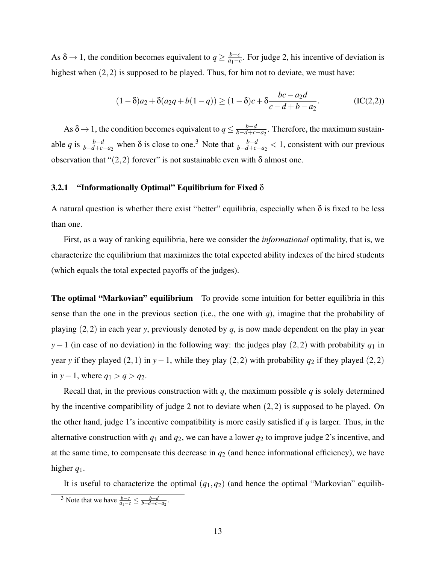As  $\delta \rightarrow 1$ , the condition becomes equivalent to  $q \geq \frac{b-c}{q}$  $\frac{b-c}{a_1-c}$ . For judge 2, his incentive of deviation is highest when  $(2,2)$  is supposed to be played. Thus, for him not to deviate, we must have:

$$
(1 - \delta)a_2 + \delta(a_2q + b(1 - q)) \ge (1 - \delta)c + \delta \frac{bc - a_2d}{c - d + b - a_2}.
$$
 (IC(2,2))

As  $\delta \rightarrow 1$ , the condition becomes equivalent to  $q \leq \frac{b-d}{b-d+c}$ *b*−*d*+*c*−*a*2 . Therefore, the maximum sustainable *q* is  $\frac{b-d}{b-d+c-a_2}$  when  $\delta$  is close to one.<sup>3</sup> Note that  $\frac{b-d}{b-d+c-a_2} < 1$ , consistent with our previous observation that " $(2,2)$  forever" is not sustainable even with  $\delta$  almost one.

#### 3.2.1 "Informationally Optimal" Equilibrium for Fixed  $\delta$

A natural question is whether there exist "better" equilibria, especially when  $\delta$  is fixed to be less than one.

First, as a way of ranking equilibria, here we consider the *informational* optimality, that is, we characterize the equilibrium that maximizes the total expected ability indexes of the hired students (which equals the total expected payoffs of the judges).

The optimal "Markovian" equilibrium To provide some intuition for better equilibria in this sense than the one in the previous section (i.e., the one with  $q$ ), imagine that the probability of playing  $(2,2)$  in each year *y*, previously denoted by *q*, is now made dependent on the play in year *y*−1 (in case of no deviation) in the following way: the judges play (2,2) with probability *q*<sub>1</sub> in year *y* if they played (2,1) in *y*−1, while they play (2,2) with probability *q*<sup>2</sup> if they played (2,2) in *y*−1, where  $q_1 > q > q_2$ .

Recall that, in the previous construction with  $q$ , the maximum possible  $q$  is solely determined by the incentive compatibility of judge 2 not to deviate when  $(2,2)$  is supposed to be played. On the other hand, judge 1's incentive compatibility is more easily satisfied if *q* is larger. Thus, in the alternative construction with  $q_1$  and  $q_2$ , we can have a lower  $q_2$  to improve judge 2's incentive, and at the same time, to compensate this decrease in  $q_2$  (and hence informational efficiency), we have higher *q*1.

It is useful to characterize the optimal  $(q_1, q_2)$  (and hence the optimal "Markovian" equilib-

<sup>&</sup>lt;sup>3</sup> Note that we have  $\frac{b-c}{a_1-c} \leq \frac{b-d}{b-d+c-a_2}$ .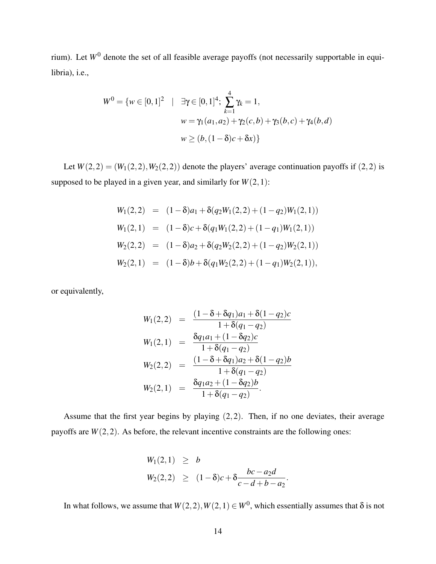rium). Let  $W^0$  denote the set of all feasible average payoffs (not necessarily supportable in equilibria), i.e.,

$$
W^{0} = \{w \in [0,1]^{2} \mid \exists \gamma \in [0,1]^{4}; \sum_{k=1}^{4} \gamma_{k} = 1,
$$
  

$$
w = \gamma_{1}(a_{1}, a_{2}) + \gamma_{2}(c, b) + \gamma_{3}(b, c) + \gamma_{4}(b, d)
$$
  

$$
w \ge (b, (1 - \delta)c + \delta x)\}
$$

Let  $W(2,2) = (W_1(2,2), W_2(2,2))$  denote the players' average continuation payoffs if  $(2,2)$  is supposed to be played in a given year, and similarly for  $W(2,1)$ :

$$
W_1(2,2) = (1 - \delta)a_1 + \delta(q_2W_1(2,2) + (1 - q_2)W_1(2,1))
$$
  
\n
$$
W_1(2,1) = (1 - \delta)c + \delta(q_1W_1(2,2) + (1 - q_1)W_1(2,1))
$$
  
\n
$$
W_2(2,2) = (1 - \delta)a_2 + \delta(q_2W_2(2,2) + (1 - q_2)W_2(2,1))
$$
  
\n
$$
W_2(2,1) = (1 - \delta)b + \delta(q_1W_2(2,2) + (1 - q_1)W_2(2,1)),
$$

or equivalently,

$$
W_1(2,2) = \frac{(1-\delta+\delta q_1)a_1+\delta(1-q_2)c}{1+\delta(q_1-q_2)}
$$
  
\n
$$
W_1(2,1) = \frac{\delta q_1a_1+(1-\delta q_2)c}{1+\delta(q_1-q_2)}
$$
  
\n
$$
W_2(2,2) = \frac{(1-\delta+\delta q_1)a_2+\delta(1-q_2)b}{1+\delta(q_1-q_2)}
$$
  
\n
$$
W_2(2,1) = \frac{\delta q_1a_2+(1-\delta q_2)b}{1+\delta(q_1-q_2)}.
$$

Assume that the first year begins by playing  $(2,2)$ . Then, if no one deviates, their average payoffs are  $W(2,2)$ . As before, the relevant incentive constraints are the following ones:

$$
W_1(2,1) \geq b
$$
  
 
$$
W_2(2,2) \geq (1-\delta)c + \delta \frac{bc - a_2d}{c - d + b - a_2}.
$$

In what follows, we assume that  $W(2,2), W(2,1) \in W^0$ , which essentially assumes that  $\delta$  is not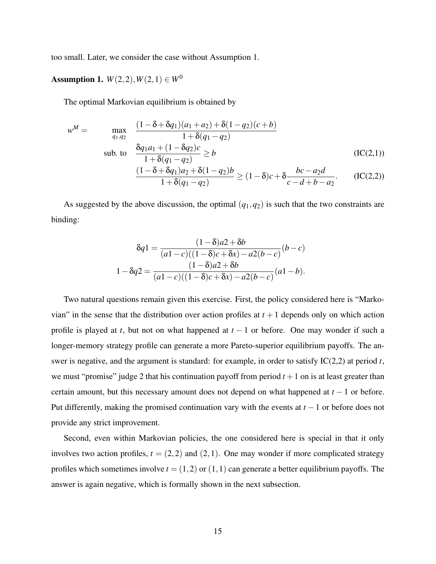too small. Later, we consider the case without Assumption 1.

Assumption 1.  $W(2,2), W(2,1) \in W^0$ 

The optimal Markovian equilibrium is obtained by

$$
w^M = \max_{q_1, q_2} \frac{(1 - \delta + \delta q_1)(a_1 + a_2) + \delta(1 - q_2)(c + b)}{1 + \delta(q_1 - q_2)}
$$
  
sub. to 
$$
\frac{\delta q_1 a_1 + (1 - \delta q_2)c}{1 + \delta(q_1 - q_2)} \ge b
$$
 (IC(2,1))  

$$
\frac{(1 - \delta + \delta q_1)a_2 + \delta(1 - q_2)b}{1 + \delta(q_1 - q_2)} \ge (1 - \delta)c + \delta \frac{bc - a_2d}{c - d + b - a_2}.
$$
 (IC(2,2))

As suggested by the above discussion, the optimal  $(q_1, q_2)$  is such that the two constraints are binding:

$$
\delta q1 = \frac{(1-\delta)a2 + \delta b}{(a1-c)((1-\delta)c + \delta x) - a2(b-c)}(b-c)
$$

$$
1 - \delta q2 = \frac{(1-\delta)a2 + \delta b}{(a1-c)((1-\delta)c + \delta x) - a2(b-c)}(a1-b).
$$

Two natural questions remain given this exercise. First, the policy considered here is "Markovian" in the sense that the distribution over action profiles at  $t + 1$  depends only on which action profile is played at *t*, but not on what happened at *t* − 1 or before. One may wonder if such a longer-memory strategy profile can generate a more Pareto-superior equilibrium payoffs. The answer is negative, and the argument is standard: for example, in order to satisfy IC(2,2) at period *t*, we must "promise" judge 2 that his continuation payoff from period  $t + 1$  on is at least greater than certain amount, but this necessary amount does not depend on what happened at *t* − 1 or before. Put differently, making the promised continuation vary with the events at *t* −1 or before does not provide any strict improvement.

Second, even within Markovian policies, the one considered here is special in that it only involves two action profiles,  $t = (2,2)$  and  $(2,1)$ . One may wonder if more complicated strategy profiles which sometimes involve  $t = (1,2)$  or  $(1,1)$  can generate a better equilibrium payoffs. The answer is again negative, which is formally shown in the next subsection.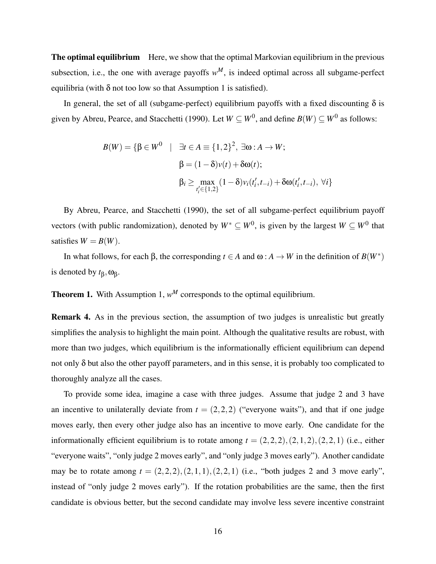The optimal equilibrium Here, we show that the optimal Markovian equilibrium in the previous subsection, i.e., the one with average payoffs  $w^M$ , is indeed optimal across all subgame-perfect equilibria (with  $\delta$  not too low so that Assumption 1 is satisfied).

In general, the set of all (subgame-perfect) equilibrium payoffs with a fixed discounting  $\delta$  is given by Abreu, Pearce, and Stacchetti (1990). Let  $W \subseteq W^0$ , and define  $B(W) \subseteq W^0$  as follows:

$$
B(W) = \{ \beta \in W^0 \mid \exists t \in A \equiv \{1, 2\}^2, \exists \omega : A \to W; \beta = (1 - \delta)v(t) + \delta \omega(t); \beta_i \ge \max_{t'_i \in \{1, 2\}} (1 - \delta)v_i(t'_i, t_{-i}) + \delta \omega(t'_i, t_{-i}), \forall i \}
$$

By Abreu, Pearce, and Stacchetti (1990), the set of all subgame-perfect equilibrium payoff vectors (with public randomization), denoted by  $W^* \subseteq W^0$ , is given by the largest  $W \subseteq W^0$  that satisfies  $W = B(W)$ .

In what follows, for each  $\beta$ , the corresponding  $t \in A$  and  $\omega : A \to W$  in the definition of  $B(W^*)$ is denoted by  $t<sub>β</sub>$ , ω<sub>β</sub>.

**Theorem 1.** With Assumption 1,  $w^M$  corresponds to the optimal equilibrium.

Remark 4. As in the previous section, the assumption of two judges is unrealistic but greatly simplifies the analysis to highlight the main point. Although the qualitative results are robust, with more than two judges, which equilibrium is the informationally efficient equilibrium can depend not only  $\delta$  but also the other payoff parameters, and in this sense, it is probably too complicated to thoroughly analyze all the cases.

To provide some idea, imagine a case with three judges. Assume that judge 2 and 3 have an incentive to unilaterally deviate from  $t = (2,2,2)$  ("everyone waits"), and that if one judge moves early, then every other judge also has an incentive to move early. One candidate for the informationally efficient equilibrium is to rotate among  $t = (2,2,2), (2,1,2), (2,2,1)$  (i.e., either "everyone waits", "only judge 2 moves early", and "only judge 3 moves early"). Another candidate may be to rotate among  $t = (2, 2, 2), (2, 1, 1), (2, 2, 1)$  (i.e., "both judges 2 and 3 move early", instead of "only judge 2 moves early"). If the rotation probabilities are the same, then the first candidate is obvious better, but the second candidate may involve less severe incentive constraint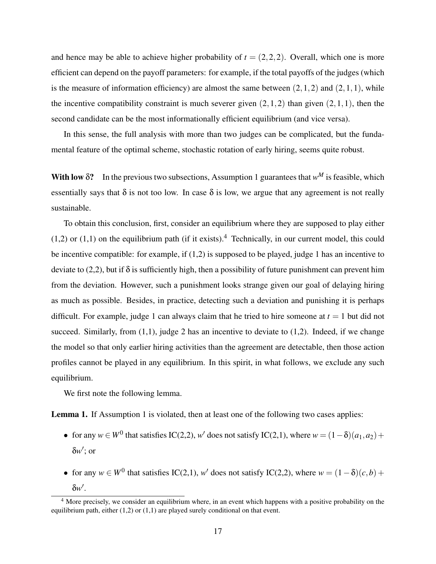and hence may be able to achieve higher probability of  $t = (2,2,2)$ . Overall, which one is more efficient can depend on the payoff parameters: for example, if the total payoffs of the judges (which is the measure of information efficiency) are almost the same between  $(2,1,2)$  and  $(2,1,1)$ , while the incentive compatibility constraint is much severer given  $(2,1,2)$  than given  $(2,1,1)$ , then the second candidate can be the most informationally efficient equilibrium (and vice versa).

In this sense, the full analysis with more than two judges can be complicated, but the fundamental feature of the optimal scheme, stochastic rotation of early hiring, seems quite robust.

With low  $\delta$ ? In the previous two subsections, Assumption 1 guarantees that  $w^M$  is feasible, which essentially says that  $\delta$  is not too low. In case  $\delta$  is low, we argue that any agreement is not really sustainable.

To obtain this conclusion, first, consider an equilibrium where they are supposed to play either  $(1,2)$  or  $(1,1)$  on the equilibrium path (if it exists).<sup>4</sup> Technically, in our current model, this could be incentive compatible: for example, if (1,2) is supposed to be played, judge 1 has an incentive to deviate to (2,2), but if  $\delta$  is sufficiently high, then a possibility of future punishment can prevent him from the deviation. However, such a punishment looks strange given our goal of delaying hiring as much as possible. Besides, in practice, detecting such a deviation and punishing it is perhaps difficult. For example, judge 1 can always claim that he tried to hire someone at  $t = 1$  but did not succeed. Similarly, from  $(1,1)$ , judge 2 has an incentive to deviate to  $(1,2)$ . Indeed, if we change the model so that only earlier hiring activities than the agreement are detectable, then those action profiles cannot be played in any equilibrium. In this spirit, in what follows, we exclude any such equilibrium.

We first note the following lemma.

Lemma 1. If Assumption 1 is violated, then at least one of the following two cases applies:

- for any  $w \in W^0$  that satisfies IC(2,2),  $w'$  does not satisfy IC(2,1), where  $w = (1 \delta)(a_1, a_2) +$ δ*w* ′ ; or
- for any  $w \in W^0$  that satisfies IC(2,1),  $w'$  does not satisfy IC(2,2), where  $w = (1 \delta)(c, b) +$ δ*w* ′ .

 $4$  More precisely, we consider an equilibrium where, in an event which happens with a positive probability on the equilibrium path, either  $(1,2)$  or  $(1,1)$  are played surely conditional on that event.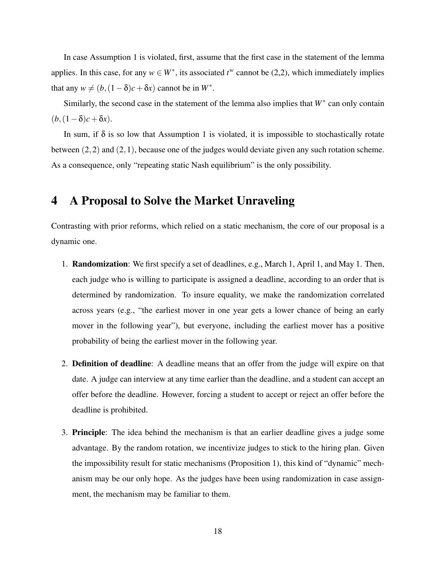In case Assumption 1 is violated, first, assume that the first case in the statement of the lemma applies. In this case, for any  $w \in W^*$ , its associated  $t^w$  cannot be (2,2), which immediately implies that any  $w \neq (b, (1 - \delta)c + \delta x)$  cannot be in  $W^*$ .

Similarly, the second case in the statement of the lemma also implies that *W*<sup>∗</sup> can only contain  $(b, (1-\delta)c+\delta x)$ .

In sum, if  $\delta$  is so low that Assumption 1 is violated, it is impossible to stochastically rotate between (2,2) and (2,1), because one of the judges would deviate given any such rotation scheme. As a consequence, only "repeating static Nash equilibrium" is the only possibility.

# 4 A Proposal to Solve the Market Unraveling

Contrasting with prior reforms, which relied on a static mechanism, the core of our proposal is a dynamic one.

- 1. Randomization: We first specify a set of deadlines, e.g., March 1, April 1, and May 1. Then, each judge who is willing to participate is assigned a deadline, according to an order that is determined by randomization. To insure equality, we make the randomization correlated across years (e.g., "the earliest mover in one year gets a lower chance of being an early mover in the following year"), but everyone, including the earliest mover has a positive probability of being the earliest mover in the following year.
- 2. Definition of deadline: A deadline means that an offer from the judge will expire on that date. A judge can interview at any time earlier than the deadline, and a student can accept an offer before the deadline. However, forcing a student to accept or reject an offer before the deadline is prohibited.
- 3. Principle: The idea behind the mechanism is that an earlier deadline gives a judge some advantage. By the random rotation, we incentivize judges to stick to the hiring plan. Given the impossibility result for static mechanisms (Proposition 1), this kind of "dynamic" mechanism may be our only hope. As the judges have been using randomization in case assignment, the mechanism may be familiar to them.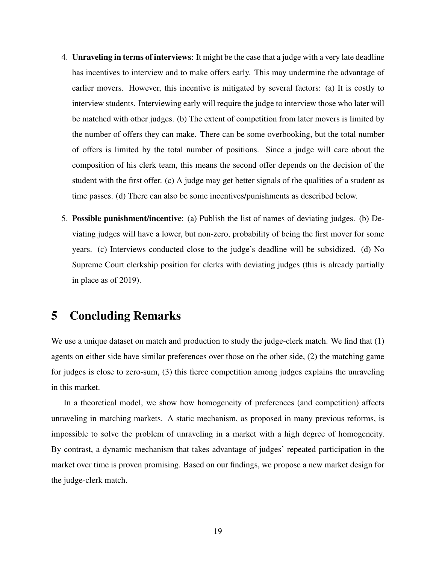- 4. Unraveling in terms of interviews: It might be the case that a judge with a very late deadline has incentives to interview and to make offers early. This may undermine the advantage of earlier movers. However, this incentive is mitigated by several factors: (a) It is costly to interview students. Interviewing early will require the judge to interview those who later will be matched with other judges. (b) The extent of competition from later movers is limited by the number of offers they can make. There can be some overbooking, but the total number of offers is limited by the total number of positions. Since a judge will care about the composition of his clerk team, this means the second offer depends on the decision of the student with the first offer. (c) A judge may get better signals of the qualities of a student as time passes. (d) There can also be some incentives/punishments as described below.
- 5. Possible punishment/incentive: (a) Publish the list of names of deviating judges. (b) Deviating judges will have a lower, but non-zero, probability of being the first mover for some years. (c) Interviews conducted close to the judge's deadline will be subsidized. (d) No Supreme Court clerkship position for clerks with deviating judges (this is already partially in place as of 2019).

## 5 Concluding Remarks

We use a unique dataset on match and production to study the judge-clerk match. We find that (1) agents on either side have similar preferences over those on the other side, (2) the matching game for judges is close to zero-sum, (3) this fierce competition among judges explains the unraveling in this market.

In a theoretical model, we show how homogeneity of preferences (and competition) affects unraveling in matching markets. A static mechanism, as proposed in many previous reforms, is impossible to solve the problem of unraveling in a market with a high degree of homogeneity. By contrast, a dynamic mechanism that takes advantage of judges' repeated participation in the market over time is proven promising. Based on our findings, we propose a new market design for the judge-clerk match.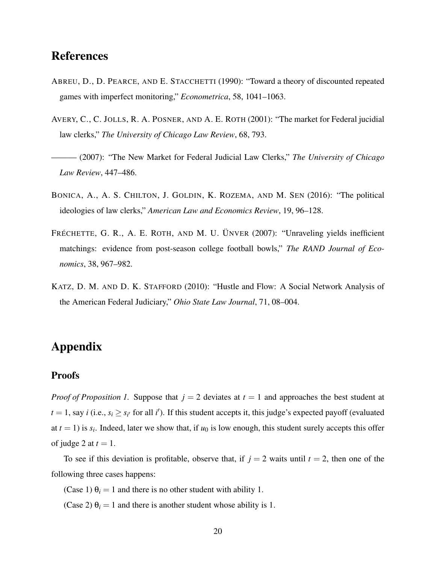# References

- ABREU, D., D. PEARCE, AND E. STACCHETTI (1990): "Toward a theory of discounted repeated games with imperfect monitoring," *Econometrica*, 58, 1041–1063.
- AVERY, C., C. JOLLS, R. A. POSNER, AND A. E. ROTH (2001): "The market for Federal jucidial law clerks," *The University of Chicago Law Review*, 68, 793.
- ——— (2007): "The New Market for Federal Judicial Law Clerks," *The University of Chicago Law Review*, 447–486.
- BONICA, A., A. S. CHILTON, J. GOLDIN, K. ROZEMA, AND M. SEN (2016): "The political ideologies of law clerks," *American Law and Economics Review*, 19, 96–128.
- FRÉCHETTE, G. R., A. E. ROTH, AND M. U. ÜNVER (2007): "Unraveling yields inefficient matchings: evidence from post-season college football bowls," *The RAND Journal of Economics*, 38, 967–982.
- KATZ, D. M. AND D. K. STAFFORD (2010): "Hustle and Flow: A Social Network Analysis of the American Federal Judiciary," *Ohio State Law Journal*, 71, 08–004.

# Appendix

#### **Proofs**

*Proof of Proposition 1.* Suppose that  $j = 2$  deviates at  $t = 1$  and approaches the best student at  $t = 1$ , say *i* (i.e.,  $s_i \geq s_{i'}$  for all *i*'). If this student accepts it, this judge's expected payoff (evaluated at  $t = 1$ ) is  $s_i$ . Indeed, later we show that, if  $u_0$  is low enough, this student surely accepts this offer of judge 2 at  $t = 1$ .

To see if this deviation is profitable, observe that, if  $j = 2$  waits until  $t = 2$ , then one of the following three cases happens:

(Case 1)  $\theta_i = 1$  and there is no other student with ability 1.

(Case 2)  $\theta_i = 1$  and there is another student whose ability is 1.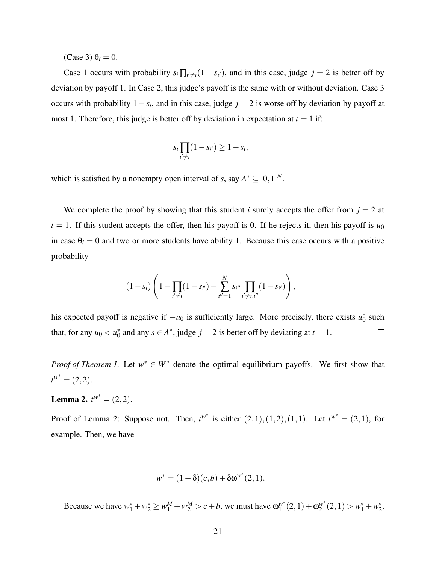$(Case 3) \theta_i = 0.$ 

Case 1 occurs with probability  $s_i \prod_{i' \neq i} (1 - s_{i'})$ , and in this case, judge  $j = 2$  is better off by deviation by payoff 1. In Case 2, this judge's payoff is the same with or without deviation. Case 3 occurs with probability  $1 - s_i$ , and in this case, judge  $j = 2$  is worse off by deviation by payoff at most 1. Therefore, this judge is better off by deviation in expectation at  $t = 1$  if:

$$
s_i \prod_{i' \neq i} (1 - s_{i'}) \geq 1 - s_i,
$$

which is satisfied by a nonempty open interval of *s*, say  $A^* \subseteq [0,1]^N$ .

We complete the proof by showing that this student *i* surely accepts the offer from  $j = 2$  at  $t = 1$ . If this student accepts the offer, then his payoff is 0. If he rejects it, then his payoff is  $u_0$ in case  $\theta_i = 0$  and two or more students have ability 1. Because this case occurs with a positive probability

$$
(1-s_i)\left(1-\prod_{i'\neq i}(1-s_{i'})-\sum_{i''=1}^N s_{i''}\prod_{i'\neq i,i''}(1-s_{i'})\right),\,
$$

his expected payoff is negative if  $-u_0$  is sufficiently large. More precisely, there exists  $u_0^*$  such that, for any  $u_0 < u_0^*$  and any  $s \in A^*$ , judge  $j = 2$  is better off by deviating at  $t = 1$ .  $\Box$ 

*Proof of Theorem 1.* Let  $w^* \in W^*$  denote the optimal equilibrium payoffs. We first show that  $t^{w^*} = (2,2).$ 

**Lemma 2.**  $t^{w^*} = (2, 2)$ .

Proof of Lemma 2: Suppose not. Then,  $t^{w^*}$  is either  $(2, 1), (1, 2), (1, 1)$ . Let  $t^{w^*} = (2, 1)$ , for example. Then, we have

$$
w^* = (1 - \delta)(c, b) + \delta \omega^{w^*}(2, 1).
$$

Because we have  $w_1^* + w_2^* \ge w_1^M + w_2^M > c + b$ , we must have  $\omega_1^{w^*}$  $y_1^{w^*}(2,1)+\omega_2^{w^*}$  $w_2^*(2,1) > w_1^* + w_2^*.$